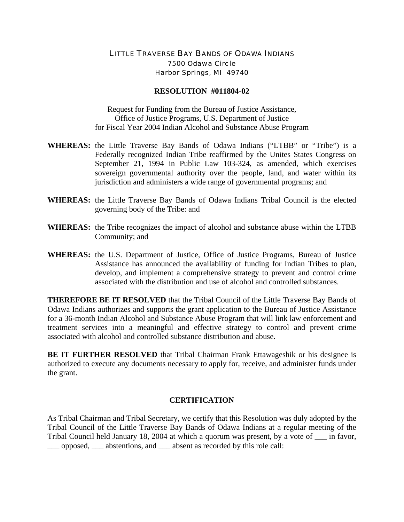## LITTLE TRAVERSE BAY BANDS OF ODAWA INDIANS 7500 Odawa Circle Harbor Springs, MI 49740

## **RESOLUTION #011804-02**

Request for Funding from the Bureau of Justice Assistance, Office of Justice Programs, U.S. Department of Justice for Fiscal Year 2004 Indian Alcohol and Substance Abuse Program

- **WHEREAS:** the Little Traverse Bay Bands of Odawa Indians ("LTBB" or "Tribe") is a Federally recognized Indian Tribe reaffirmed by the Unites States Congress on September 21, 1994 in Public Law 103-324, as amended, which exercises sovereign governmental authority over the people, land, and water within its jurisdiction and administers a wide range of governmental programs; and
- **WHEREAS:** the Little Traverse Bay Bands of Odawa Indians Tribal Council is the elected governing body of the Tribe: and
- **WHEREAS:** the Tribe recognizes the impact of alcohol and substance abuse within the LTBB Community; and
- **WHEREAS:** the U.S. Department of Justice, Office of Justice Programs, Bureau of Justice Assistance has announced the availability of funding for Indian Tribes to plan, develop, and implement a comprehensive strategy to prevent and control crime associated with the distribution and use of alcohol and controlled substances.

**THEREFORE BE IT RESOLVED** that the Tribal Council of the Little Traverse Bay Bands of Odawa Indians authorizes and supports the grant application to the Bureau of Justice Assistance for a 36-month Indian Alcohol and Substance Abuse Program that will link law enforcement and treatment services into a meaningful and effective strategy to control and prevent crime associated with alcohol and controlled substance distribution and abuse.

**BE IT FURTHER RESOLVED** that Tribal Chairman Frank Ettawageshik or his designee is authorized to execute any documents necessary to apply for, receive, and administer funds under the grant.

## **CERTIFICATION**

As Tribal Chairman and Tribal Secretary, we certify that this Resolution was duly adopted by the Tribal Council of the Little Traverse Bay Bands of Odawa Indians at a regular meeting of the Tribal Council held January 18, 2004 at which a quorum was present, by a vote of \_\_\_ in favor, \_\_\_ opposed, \_\_\_ abstentions, and \_\_\_ absent as recorded by this role call: